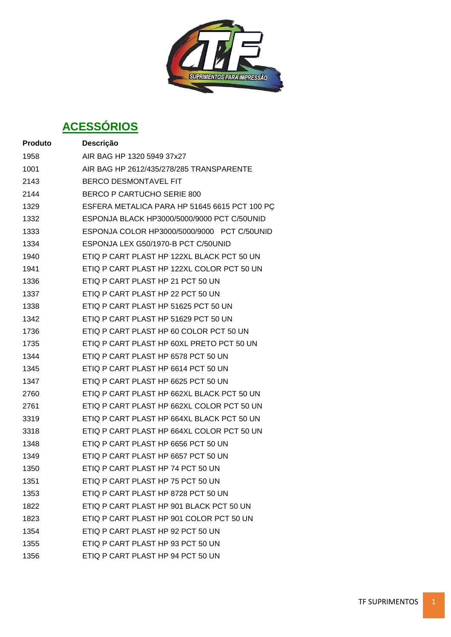**SUPRIMENTOS PARA IMPRESSÃO** 

# **ACESSÓRIOS**

| <b>Produto</b> | Descrição                                     |
|----------------|-----------------------------------------------|
| 1958           | AIR BAG HP 1320 5949 37x27                    |
| 1001           | AIR BAG HP 2612/435/278/285 TRANSPARENTE      |
| 2143           | <b>BERCO DESMONTAVEL FIT</b>                  |
| 2144           | <b>BERCO P CARTUCHO SERIE 800</b>             |
| 1329           | ESFERA METALICA PARA HP 51645 6615 PCT 100 PC |
| 1332           | ESPONJA BLACK HP3000/5000/9000 PCT C/50UNID   |
| 1333           | ESPONJA COLOR HP3000/5000/9000 PCT C/50UNID   |
| 1334           | ESPONJA LEX G50/1970-B PCT C/50UNID           |
| 1940           | ETIQ P CART PLAST HP 122XL BLACK PCT 50 UN    |
| 1941           | ETIQ P CART PLAST HP 122XL COLOR PCT 50 UN    |
| 1336           | ETIQ P CART PLAST HP 21 PCT 50 UN             |
| 1337           | ETIQ P CART PLAST HP 22 PCT 50 UN             |
| 1338           | ETIQ P CART PLAST HP 51625 PCT 50 UN          |
| 1342           | ETIQ P CART PLAST HP 51629 PCT 50 UN          |
| 1736           | ETIQ P CART PLAST HP 60 COLOR PCT 50 UN       |
| 1735           | ETIQ P CART PLAST HP 60XL PRETO PCT 50 UN     |
| 1344           | ETIQ P CART PLAST HP 6578 PCT 50 UN           |
| 1345           | ETIQ P CART PLAST HP 6614 PCT 50 UN           |
| 1347           | ETIQ P CART PLAST HP 6625 PCT 50 UN           |
| 2760           | ETIQ P CART PLAST HP 662XL BLACK PCT 50 UN    |
| 2761           | ETIQ P CART PLAST HP 662XL COLOR PCT 50 UN    |
| 3319           | ETIQ P CART PLAST HP 664XL BLACK PCT 50 UN    |
| 3318           | ETIQ P CART PLAST HP 664XL COLOR PCT 50 UN    |
| 1348           | ETIO P CART PLAST HP 6656 PCT 50 UN           |
| 1349           | ETIQ P CART PLAST HP 6657 PCT 50 UN           |
| 1350           | ETIQ P CART PLAST HP 74 PCT 50 UN             |
| 1351           | ETIQ P CART PLAST HP 75 PCT 50 UN             |
| 1353           | ETIQ P CART PLAST HP 8728 PCT 50 UN           |
| 1822           | ETIQ P CART PLAST HP 901 BLACK PCT 50 UN      |
| 1823           | ETIQ P CART PLAST HP 901 COLOR PCT 50 UN      |
| 1354           | ETIO P CART PLAST HP 92 PCT 50 UN             |
| 1355           | ETIQ P CART PLAST HP 93 PCT 50 UN             |
| 1356           | ETIQ P CART PLAST HP 94 PCT 50 UN             |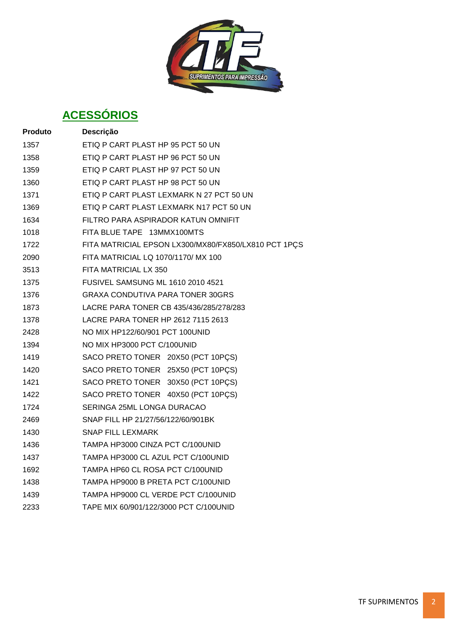

# **ACESSÓRIOS**

| <b>Produto</b> | Descrição                                            |
|----------------|------------------------------------------------------|
| 1357           | ETIQ P CART PLAST HP 95 PCT 50 UN                    |
| 1358           | ETIQ P CART PLAST HP 96 PCT 50 UN                    |
| 1359           | ETIQ P CART PLAST HP 97 PCT 50 UN                    |
| 1360           | ETIQ P CART PLAST HP 98 PCT 50 UN                    |
| 1371           | ETIQ P CART PLAST LEXMARK N 27 PCT 50 UN             |
| 1369           | ETIQ P CART PLAST LEXMARK N17 PCT 50 UN              |
| 1634           | FILTRO PARA ASPIRADOR KATUN OMNIFIT                  |
| 1018           | FITA BLUE TAPE 13MMX100MTS                           |
| 1722           | FITA MATRICIAL EPSON LX300/MX80/FX850/LX810 PCT 1PCS |
| 2090           | FITA MATRICIAL LQ 1070/1170/ MX 100                  |
| 3513           | FITA MATRICIAL LX 350                                |
| 1375           | <b>FUSIVEL SAMSUNG ML 1610 2010 4521</b>             |
| 1376           | <b>GRAXA CONDUTIVA PARA TONER 30GRS</b>              |
| 1873           | LACRE PARA TONER CB 435/436/285/278/283              |
| 1378           | LACRE PARA TONER HP 2612 7115 2613                   |
| 2428           | NO MIX HP122/60/901 PCT 100UNID                      |
| 1394           | NO MIX HP3000 PCT C/100UNID                          |
| 1419           | SACO PRETO TONER 20X50 (PCT 10PCS)                   |
| 1420           | SACO PRETO TONER 25X50 (PCT 10PÇS)                   |
| 1421           | SACO PRETO TONER 30X50 (PCT 10PCS)                   |
| 1422           | SACO PRETO TONER 40X50 (PCT 10PCS)                   |
| 1724           | SERINGA 25ML LONGA DURACAO                           |
| 2469           | SNAP FILL HP 21/27/56/122/60/901BK                   |
| 1430           | <b>SNAP FILL LEXMARK</b>                             |
| 1436           | TAMPA HP3000 CINZA PCT C/100UNID                     |
| 1437           | TAMPA HP3000 CL AZUL PCT C/100UNID                   |
| 1692           | TAMPA HP60 CL ROSA PCT C/100UNID                     |
| 1438           | TAMPA HP9000 B PRETA PCT C/100UNID                   |
| 1439           | TAMPA HP9000 CL VERDE PCT C/100UNID                  |
| 2233           | TAPE MIX 60/901/122/3000 PCT C/100UNID               |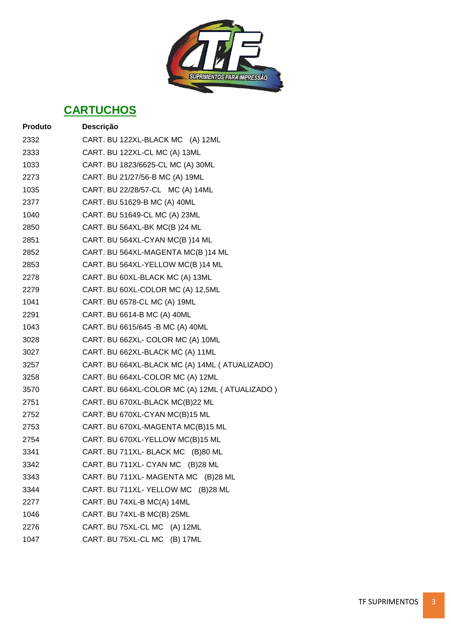

| <b>Produto</b> | Descrição                                       |
|----------------|-------------------------------------------------|
| 2332           | CART. BU 122XL-BLACK MC (A) 12ML                |
| 2333           | CART. BU 122XL-CL MC (A) 13ML                   |
| 1033           | CART. BU 1823/6625-CL MC (A) 30ML               |
| 2273           | CART. BU 21/27/56-B MC (A) 19ML                 |
| 1035           | CART. BU 22/28/57-CL MC (A) 14ML                |
| 2377           | CART. BU 51629-B MC (A) 40ML                    |
| 1040           | CART. BU 51649-CL MC (A) 23ML                   |
| 2850           | CART. BU 564XL-BK MC(B)24 ML                    |
| 2851           | CART. BU 564XL-CYAN MC(B)14 ML                  |
| 2852           | CART. BU 564XL-MAGENTA MC(B)14 ML               |
| 2853           | CART. BU 564XL-YELLOW MC(B)14 ML                |
| 2278           | CART. BU 60XL-BLACK MC (A) 13ML                 |
| 2279           | CART. BU 60XL-COLOR MC (A) 12,5ML               |
| 1041           | CART. BU 6578-CL MC (A) 19ML                    |
| 2291           | CART. BU 6614-B MC (A) 40ML                     |
| 1043           | CART. BU 6615/645 - B MC (A) 40ML               |
| 3028           | CART. BU 662XL- COLOR MC (A) 10ML               |
| 3027           | CART. BU 662XL-BLACK MC (A) 11ML                |
| 3257           | CART. BU 664XL-BLACK MC (A) 14ML (ATUALIZADO)   |
| 3258           | CART. BU 664XL-COLOR MC (A) 12ML                |
| 3570           | CART. BU 664XL-COLOR MC (A) 12ML ( ATUALIZADO ) |
| 2751           | CART. BU 670XL-BLACK MC(B)22 ML                 |
| 2752           | CART. BU 670XL-CYAN MC(B)15 ML                  |
| 2753           | CART. BU 670XL-MAGENTA MC(B)15 ML               |
| 2754           | CART. BU 670XL-YELLOW MC(B)15 ML                |
| 3341           | CART. BU 711XL- BLACK MC (B)80 ML               |
| 3342           | CART. BU 711XL- CYAN MC (B)28 ML                |
| 3343           | CART. BU 711XL- MAGENTA MC (B)28 ML             |
| 3344           | CART. BU 711XL- YELLOW MC (B)28 ML              |
| 2277           | CART. BU 74XL-B MC(A) 14ML                      |
| 1046           | CART. BU 74XL-B MC(B) 25ML                      |
| 2276           | CART. BU 75XL-CL MC (A) 12ML                    |
| 1047           | CART. BU 75XL-CL MC (B) 17ML                    |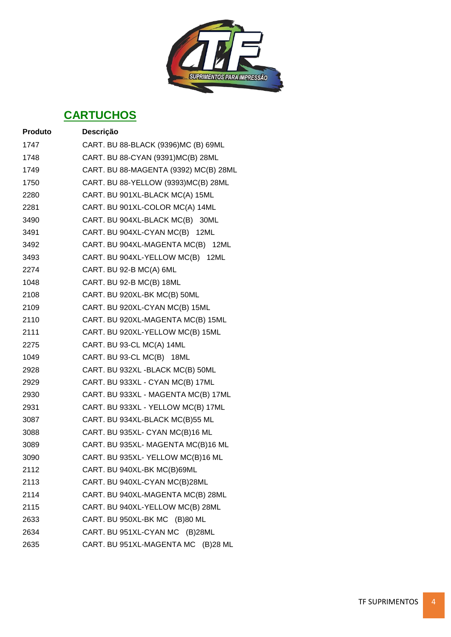

| <b>Produto</b> | Descrição                             |
|----------------|---------------------------------------|
| 1747           | CART. BU 88-BLACK (9396)MC (B) 69ML   |
| 1748           | CART. BU 88-CYAN (9391) MC(B) 28ML    |
| 1749           | CART. BU 88-MAGENTA (9392) MC(B) 28ML |
| 1750           | CART. BU 88-YELLOW (9393)MC(B) 28ML   |
| 2280           | CART. BU 901XL-BLACK MC(A) 15ML       |
| 2281           | CART. BU 901XL-COLOR MC(A) 14ML       |
| 3490           | CART. BU 904XL-BLACK MC(B) 30ML       |
| 3491           | CART. BU 904XL-CYAN MC(B) 12ML        |
| 3492           | CART. BU 904XL-MAGENTA MC(B) 12ML     |
| 3493           | CART. BU 904XL-YELLOW MC(B) 12ML      |
| 2274           | CART. BU 92-B MC(A) 6ML               |
| 1048           | CART. BU 92-B MC(B) 18ML              |
| 2108           | CART. BU 920XL-BK MC(B) 50ML          |
| 2109           | CART. BU 920XL-CYAN MC(B) 15ML        |
| 2110           | CART. BU 920XL-MAGENTA MC(B) 15ML     |
| 2111           | CART. BU 920XL-YELLOW MC(B) 15ML      |
| 2275           | CART. BU 93-CL MC(A) 14ML             |
| 1049           | CART. BU 93-CL MC(B) 18ML             |
| 2928           | CART. BU 932XL - BLACK MC(B) 50ML     |
| 2929           | CART. BU 933XL - CYAN MC(B) 17ML      |
| 2930           | CART. BU 933XL - MAGENTA MC(B) 17ML   |
| 2931           | CART. BU 933XL - YELLOW MC(B) 17ML    |
| 3087           | CART. BU 934XL-BLACK MC(B)55 ML       |
| 3088           | CART. BU 935XL- CYAN MC(B)16 ML       |
| 3089           | CART. BU 935XL- MAGENTA MC(B)16 ML    |
| 3090           | CART. BU 935XL- YELLOW MC(B)16 ML     |
| 2112           | CART. BU 940XL-BK MC(B)69ML           |
| 2113           | CART. BU 940XL-CYAN MC(B)28ML         |
| 2114           | CART. BU 940XL-MAGENTA MC(B) 28ML     |
| 2115           | CART. BU 940XL-YELLOW MC(B) 28ML      |
| 2633           | CART. BU 950XL-BK MC (B)80 ML         |
| 2634           | CART. BU 951XL-CYAN MC (B)28ML        |
| 2635           | CART. BU 951XL-MAGENTA MC (B)28 ML    |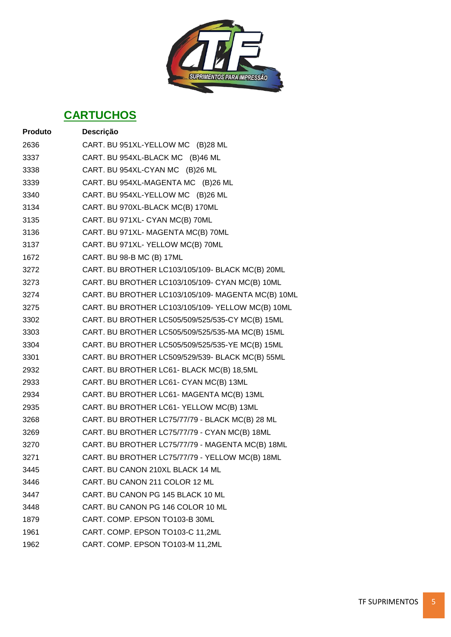

| Produto | Descrição                                          |
|---------|----------------------------------------------------|
| 2636    | CART. BU 951XL-YELLOW MC (B)28 ML                  |
| 3337    | CART. BU 954XL-BLACK MC (B)46 ML                   |
| 3338    | CART. BU 954XL-CYAN MC (B)26 ML                    |
| 3339    | CART. BU 954XL-MAGENTA MC (B)26 ML                 |
| 3340    | CART. BU 954XL-YELLOW MC (B)26 ML                  |
| 3134    | CART. BU 970XL-BLACK MC(B) 170ML                   |
| 3135    | CART. BU 971XL- CYAN MC(B) 70ML                    |
| 3136    | CART. BU 971XL- MAGENTA MC(B) 70ML                 |
| 3137    | CART. BU 971XL- YELLOW MC(B) 70ML                  |
| 1672    | CART. BU 98-B MC (B) 17ML                          |
| 3272    | CART. BU BROTHER LC103/105/109- BLACK MC(B) 20ML   |
| 3273    | CART. BU BROTHER LC103/105/109- CYAN MC(B) 10ML    |
| 3274    | CART. BU BROTHER LC103/105/109- MAGENTA MC(B) 10ML |
| 3275    | CART. BU BROTHER LC103/105/109-YELLOW MC(B) 10ML   |
| 3302    | CART. BU BROTHER LC505/509/525/535-CY MC(B) 15ML   |
| 3303    | CART. BU BROTHER LC505/509/525/535-MA MC(B) 15ML   |
| 3304    | CART. BU BROTHER LC505/509/525/535-YE MC(B) 15ML   |
| 3301    | CART. BU BROTHER LC509/529/539- BLACK MC(B) 55ML   |
| 2932    | CART. BU BROTHER LC61- BLACK MC(B) 18,5ML          |
| 2933    | CART. BU BROTHER LC61- CYAN MC(B) 13ML             |
| 2934    | CART. BU BROTHER LC61- MAGENTA MC(B) 13ML          |
| 2935    | CART. BU BROTHER LC61- YELLOW MC(B) 13ML           |
| 3268    | CART. BU BROTHER LC75/77/79 - BLACK MC(B) 28 ML    |
| 3269    | CART. BU BROTHER LC75/77/79 - CYAN MC(B) 18ML      |
| 3270    | CART. BU BROTHER LC75/77/79 - MAGENTA MC(B) 18ML   |
| 3271    | CART. BU BROTHER LC75/77/79 - YELLOW MC(B) 18ML    |
| 3445    | CART. BU CANON 210XL BLACK 14 ML                   |
| 3446    | CART. BU CANON 211 COLOR 12 ML                     |
| 3447    | CART. BU CANON PG 145 BLACK 10 ML                  |
| 3448    | CART. BU CANON PG 146 COLOR 10 ML                  |
| 1879    | CART. COMP. EPSON TO103-B 30ML                     |
| 1961    | CART. COMP. EPSON TO103-C 11,2ML                   |
| 1962    | CART. COMP. EPSON TO103-M 11,2ML                   |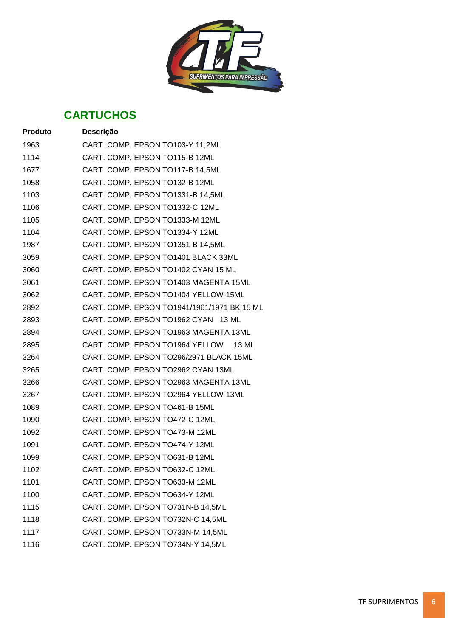

| <b>Produto</b> | Descrição                                   |
|----------------|---------------------------------------------|
| 1963           | CART. COMP. EPSON TO103-Y 11,2ML            |
| 1114           | CART. COMP. EPSON TO115-B 12ML              |
| 1677           | CART. COMP. EPSON TO117-B 14,5ML            |
| 1058           | CART. COMP. EPSON TO132-B 12ML              |
| 1103           | CART. COMP. EPSON TO1331-B 14,5ML           |
| 1106           | CART. COMP. EPSON TO1332-C 12ML             |
| 1105           | CART. COMP. EPSON TO1333-M 12ML             |
| 1104           | CART. COMP. EPSON TO1334-Y 12ML             |
| 1987           | CART. COMP. EPSON TO1351-B 14,5ML           |
| 3059           | CART. COMP. EPSON TO1401 BLACK 33ML         |
| 3060           | CART. COMP. EPSON TO1402 CYAN 15 ML         |
| 3061           | CART. COMP. EPSON TO1403 MAGENTA 15ML       |
| 3062           | CART. COMP. EPSON TO1404 YELLOW 15ML        |
| 2892           | CART. COMP. EPSON TO1941/1961/1971 BK 15 ML |
| 2893           | CART. COMP. EPSON TO1962 CYAN 13 ML         |
| 2894           | CART. COMP. EPSON TO1963 MAGENTA 13ML       |
| 2895           | CART. COMP. EPSON TO1964 YELLOW 13 ML       |
| 3264           | CART. COMP. EPSON TO296/2971 BLACK 15ML     |
| 3265           | CART. COMP. EPSON TO2962 CYAN 13ML          |
| 3266           | CART. COMP. EPSON TO2963 MAGENTA 13ML       |
| 3267           | CART. COMP. EPSON TO2964 YELLOW 13ML        |
| 1089           | CART. COMP. EPSON TO461-B 15ML              |
| 1090           | CART. COMP. EPSON TO472-C 12ML              |
| 1092           | CART. COMP. EPSON TO473-M 12ML              |
| 1091           | CART. COMP. EPSON TO474-Y 12ML              |
| 1099           | CART. COMP. EPSON TO631-B 12ML              |
| 1102           | CART. COMP. EPSON TO632-C 12ML              |
| 1101           | CART. COMP. EPSON TO633-M 12ML              |
| 1100           | CART. COMP. EPSON TO634-Y 12ML              |
| 1115           | CART. COMP. EPSON TO731N-B 14,5ML           |
| 1118           | CART. COMP. EPSON TO732N-C 14,5ML           |
| 1117           | CART. COMP. EPSON TO733N-M 14,5ML           |
| 1116           | CART. COMP. EPSON TO734N-Y 14,5ML           |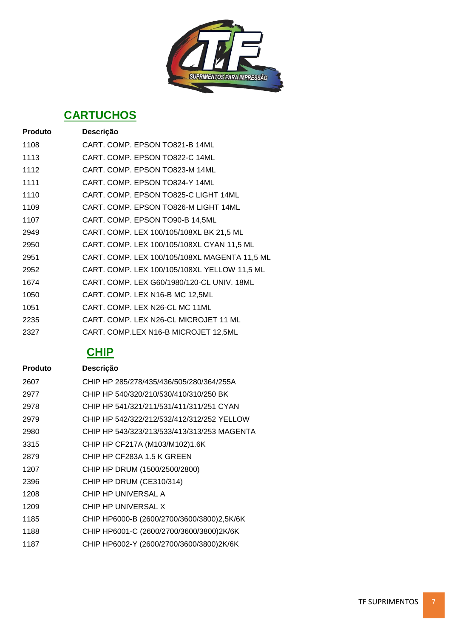

| Produto | Descrição                                     |
|---------|-----------------------------------------------|
| 1108    | CART. COMP. EPSON TO821-B 14ML                |
| 1113    | CART. COMP. EPSON TO822-C 14ML                |
| 1112    | CART. COMP. EPSON TO823-M 14ML                |
| 1111    | CART, COMP, EPSON TO824-Y 14ML                |
| 1110    | CART. COMP. EPSON TO825-C LIGHT 14ML          |
| 1109    | CART. COMP. EPSON TO826-M LIGHT 14ML          |
| 1107    | CART. COMP. EPSON TO90-B 14,5ML               |
| 2949    | CART. COMP. LEX 100/105/108XL BK 21,5 ML      |
| 2950    | CART. COMP. LEX 100/105/108XL CYAN 11,5 ML    |
| 2951    | CART. COMP. LEX 100/105/108XL MAGENTA 11,5 ML |
| 2952    | CART. COMP. LEX 100/105/108XL YELLOW 11,5 ML  |
| 1674    | CART. COMP. LEX G60/1980/120-CL UNIV. 18ML    |
| 1050    | CART. COMP. LEX N16-B MC 12,5ML               |
| 1051    | CART. COMP. LEX N26-CL MC 11ML                |
| 2235    | CART. COMP. LEX N26-CL MICROJET 11 ML         |
| 2327    | CART. COMP.LEX N16-B MICROJET 12,5ML          |

| <b>Produto</b> | Descrição                                   |
|----------------|---------------------------------------------|
| 2607           | CHIP HP 285/278/435/436/505/280/364/255A    |
| 2977           | CHIP HP 540/320/210/530/410/310/250 BK      |
| 2978           | CHIP HP 541/321/211/531/411/311/251 CYAN    |
| 2979           | CHIP HP 542/322/212/532/412/312/252 YELLOW  |
| 2980           | CHIP HP 543/323/213/533/413/313/253 MAGENTA |
| 3315           | CHIP HP CF217A (M103/M102)1.6K              |
| 2879           | CHIP HP CF283A 1.5 K GREEN                  |
| 1207           | CHIP HP DRUM (1500/2500/2800)               |
| 2396           | CHIP HP DRUM (CE310/314)                    |
| 1208           | CHIP HP UNIVERSAL A                         |
| 1209           | CHIP HP UNIVERSAL X                         |
| 1185           | CHIP HP6000-B (2600/2700/3600/3800)2,5K/6K  |
| 1188           | CHIP HP6001-C (2600/2700/3600/3800)2K/6K    |
| 1187           | CHIP HP6002-Y (2600/2700/3600/3800)2K/6K    |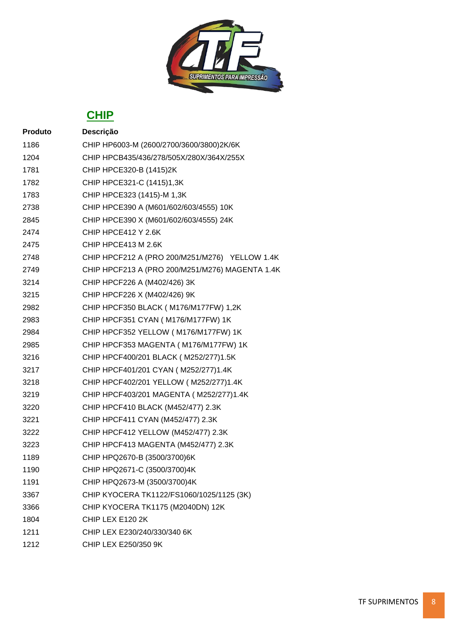

| <b>Produto</b> | Descrição                                       |
|----------------|-------------------------------------------------|
| 1186           | CHIP HP6003-M (2600/2700/3600/3800)2K/6K        |
| 1204           | CHIP HPCB435/436/278/505X/280X/364X/255X        |
| 1781           | CHIP HPCE320-B (1415)2K                         |
| 1782           | CHIP HPCE321-C (1415)1,3K                       |
| 1783           | CHIP HPCE323 (1415)-M 1,3K                      |
| 2738           | CHIP HPCE390 A (M601/602/603/4555) 10K          |
| 2845           | CHIP HPCE390 X (M601/602/603/4555) 24K          |
| 2474           | CHIP HPCE412 Y 2.6K                             |
| 2475           | CHIP HPCE413 M 2.6K                             |
| 2748           | CHIP HPCF212 A (PRO 200/M251/M276) YELLOW 1.4K  |
| 2749           | CHIP HPCF213 A (PRO 200/M251/M276) MAGENTA 1.4K |
| 3214           | CHIP HPCF226 A (M402/426) 3K                    |
| 3215           | CHIP HPCF226 X (M402/426) 9K                    |
| 2982           | CHIP HPCF350 BLACK ( M176/M177FW) 1,2K          |
| 2983           | CHIP HPCF351 CYAN (M176/M177FW) 1K              |
| 2984           | CHIP HPCF352 YELLOW (M176/M177FW) 1K            |
| 2985           | CHIP HPCF353 MAGENTA (M176/M177FW) 1K           |
| 3216           | CHIP HPCF400/201 BLACK ( M252/277)1.5K          |
| 3217           | CHIP HPCF401/201 CYAN (M252/277)1.4K            |
| 3218           | CHIP HPCF402/201 YELLOW ( M252/277)1.4K         |
| 3219           | CHIP HPCF403/201 MAGENTA ( M252/277)1.4K        |
| 3220           | CHIP HPCF410 BLACK (M452/477) 2.3K              |
| 3221           | CHIP HPCF411 CYAN (M452/477) 2.3K               |
| 3222           | CHIP HPCF412 YELLOW (M452/477) 2.3K             |
| 3223           | CHIP HPCF413 MAGENTA (M452/477) 2.3K            |
| 1189           | CHIP HPQ2670-B (3500/3700)6K                    |
| 1190           | CHIP HPQ2671-C (3500/3700)4K                    |
| 1191           | CHIP HPQ2673-M (3500/3700)4K                    |
| 3367           | CHIP KYOCERA TK1122/FS1060/1025/1125 (3K)       |
| 3366           | CHIP KYOCERA TK1175 (M2040DN) 12K               |
| 1804           | CHIP LEX E120 2K                                |
| 1211           | CHIP LEX E230/240/330/340 6K                    |
| 1212           | CHIP LEX E250/350 9K                            |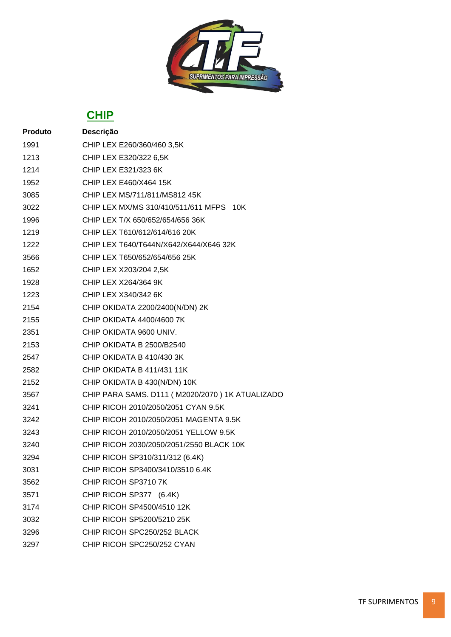

| <b>Produto</b> | Descrição                                       |
|----------------|-------------------------------------------------|
| 1991           | CHIP LEX E260/360/460 3,5K                      |
| 1213           | CHIP LEX E320/322 6,5K                          |
| 1214           | CHIP LEX E321/323 6K                            |
| 1952           | CHIP LEX E460/X464 15K                          |
| 3085           | CHIP LEX MS/711/811/MS812 45K                   |
| 3022           | CHIP LEX MX/MS 310/410/511/611 MFPS 10K         |
| 1996           | CHIP LEX T/X 650/652/654/656 36K                |
| 1219           | CHIP LEX T610/612/614/616 20K                   |
| 1222           | CHIP LEX T640/T644N/X642/X644/X646 32K          |
| 3566           | CHIP LEX T650/652/654/656 25K                   |
| 1652           | CHIP LEX X203/204 2,5K                          |
| 1928           | <b>CHIP LEX X264/364 9K</b>                     |
| 1223           | CHIP LEX X340/342 6K                            |
| 2154           | CHIP OKIDATA 2200/2400(N/DN) 2K                 |
| 2155           | CHIP OKIDATA 4400/4600 7K                       |
| 2351           | CHIP OKIDATA 9600 UNIV.                         |
| 2153           | CHIP OKIDATA B 2500/B2540                       |
| 2547           | CHIP OKIDATA B 410/430 3K                       |
| 2582           | CHIP OKIDATA B 411/431 11K                      |
| 2152           | CHIP OKIDATA B 430(N/DN) 10K                    |
| 3567           | CHIP PARA SAMS. D111 (M2020/2070) 1K ATUALIZADO |
| 3241           | CHIP RICOH 2010/2050/2051 CYAN 9.5K             |
| 3242           | CHIP RICOH 2010/2050/2051 MAGENTA 9.5K          |
| 3243           | CHIP RICOH 2010/2050/2051 YELLOW 9.5K           |
| 3240           | CHIP RICOH 2030/2050/2051/2550 BLACK 10K        |
| 3294           | CHIP RICOH SP310/311/312 (6.4K)                 |
| 3031           | CHIP RICOH SP3400/3410/3510 6.4K                |
| 3562           | CHIP RICOH SP3710 7K                            |
| 3571           | CHIP RICOH SP377 (6.4K)                         |
| 3174           | CHIP RICOH SP4500/4510 12K                      |
| 3032           | CHIP RICOH SP5200/5210 25K                      |
| 3296           | CHIP RICOH SPC250/252 BLACK                     |
| 3297           | CHIP RICOH SPC250/252 CYAN                      |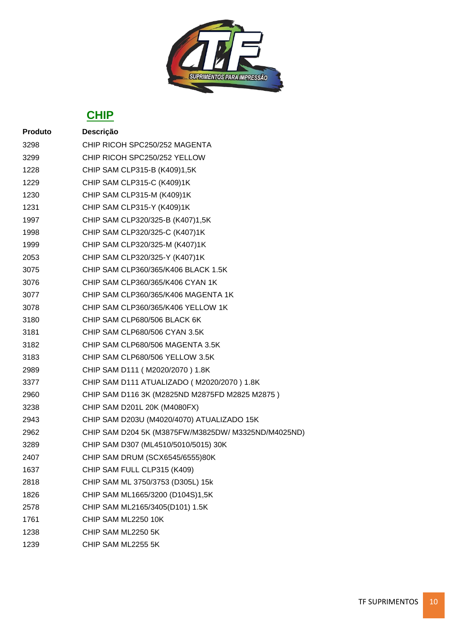

| <b>Produto</b> | Descrição                                           |
|----------------|-----------------------------------------------------|
| 3298           | CHIP RICOH SPC250/252 MAGENTA                       |
| 3299           | CHIP RICOH SPC250/252 YELLOW                        |
| 1228           | CHIP SAM CLP315-B (K409)1,5K                        |
| 1229           | CHIP SAM CLP315-C (K409)1K                          |
| 1230           | CHIP SAM CLP315-M (K409)1K                          |
| 1231           | CHIP SAM CLP315-Y (K409)1K                          |
| 1997           | CHIP SAM CLP320/325-B (K407)1,5K                    |
| 1998           | CHIP SAM CLP320/325-C (K407)1K                      |
| 1999           | CHIP SAM CLP320/325-M (K407)1K                      |
| 2053           | CHIP SAM CLP320/325-Y (K407)1K                      |
| 3075           | CHIP SAM CLP360/365/K406 BLACK 1.5K                 |
| 3076           | CHIP SAM CLP360/365/K406 CYAN 1K                    |
| 3077           | CHIP SAM CLP360/365/K406 MAGENTA 1K                 |
| 3078           | CHIP SAM CLP360/365/K406 YELLOW 1K                  |
| 3180           | CHIP SAM CLP680/506 BLACK 6K                        |
| 3181           | CHIP SAM CLP680/506 CYAN 3.5K                       |
| 3182           | CHIP SAM CLP680/506 MAGENTA 3.5K                    |
| 3183           | CHIP SAM CLP680/506 YELLOW 3.5K                     |
| 2989           | CHIP SAM D111 (M2020/2070) 1.8K                     |
| 3377           | CHIP SAM D111 ATUALIZADO (M2020/2070) 1.8K          |
| 2960           | CHIP SAM D116 3K (M2825ND M2875FD M2825 M2875)      |
| 3238           | CHIP SAM D201L 20K (M4080FX)                        |
| 2943           | CHIP SAM D203U (M4020/4070) ATUALIZADO 15K          |
| 2962           | CHIP SAM D204 5K (M3875FW/M3825DW/ M3325ND/M4025ND) |
| 3289           | CHIP SAM D307 (ML4510/5010/5015) 30K                |
| 2407           | CHIP SAM DRUM (SCX6545/6555)80K                     |
| 1637           | CHIP SAM FULL CLP315 (K409)                         |
| 2818           | CHIP SAM ML 3750/3753 (D305L) 15k                   |
| 1826           | CHIP SAM ML1665/3200 (D104S)1,5K                    |
| 2578           | CHIP SAM ML2165/3405(D101) 1.5K                     |
| 1761           | CHIP SAM ML2250 10K                                 |
| 1238           | CHIP SAM ML2250 5K                                  |
| 1239           | CHIP SAM ML2255 5K                                  |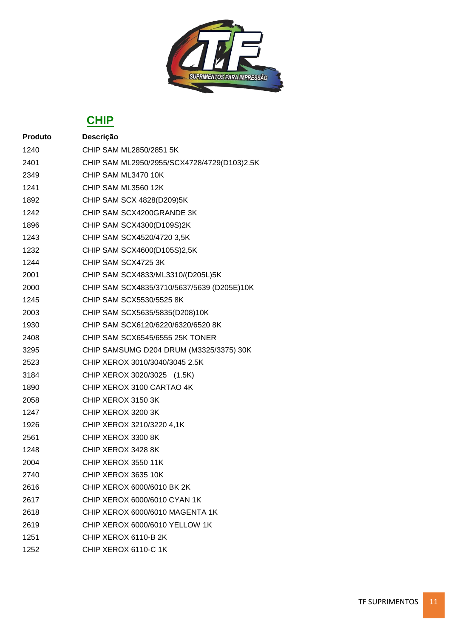

| <b>Produto</b> | Descrição                                   |
|----------------|---------------------------------------------|
| 1240           | CHIP SAM ML2850/2851 5K                     |
| 2401           | CHIP SAM ML2950/2955/SCX4728/4729(D103)2.5K |
| 2349           | CHIP SAM ML3470 10K                         |
| 1241           | CHIP SAM ML3560 12K                         |
| 1892           | CHIP SAM SCX 4828(D209)5K                   |
| 1242           | CHIP SAM SCX4200GRANDE 3K                   |
| 1896           | CHIP SAM SCX4300(D109S)2K                   |
| 1243           | CHIP SAM SCX4520/4720 3,5K                  |
| 1232           | CHIP SAM SCX4600(D105S)2,5K                 |
| 1244           | CHIP SAM SCX4725 3K                         |
| 2001           | CHIP SAM SCX4833/ML3310/(D205L)5K           |
| 2000           | CHIP SAM SCX4835/3710/5637/5639 (D205E)10K  |
| 1245           | CHIP SAM SCX5530/5525 8K                    |
| 2003           | CHIP SAM SCX5635/5835(D208)10K              |
| 1930           | CHIP SAM SCX6120/6220/6320/6520 8K          |
| 2408           | CHIP SAM SCX6545/6555 25K TONER             |
| 3295           | CHIP SAMSUMG D204 DRUM (M3325/3375) 30K     |
| 2523           | CHIP XEROX 3010/3040/3045 2.5K              |
| 3184           | CHIP XEROX 3020/3025 (1.5K)                 |
| 1890           | CHIP XEROX 3100 CARTAO 4K                   |
| 2058           | CHIP XEROX 3150 3K                          |
| 1247           | CHIP XEROX 3200 3K                          |
| 1926           | CHIP XEROX 3210/3220 4,1K                   |
| 2561           | CHIP XEROX 3300 8K                          |
| 1248           | CHIP XEROX 3428 8K                          |
| 2004           | CHIP XEROX 3550 11K                         |
| 2740           | CHIP XEROX 3635 10K                         |
| 2616           | CHIP XEROX 6000/6010 BK 2K                  |
| 2617           | CHIP XEROX 6000/6010 CYAN 1K                |
| 2618           | CHIP XEROX 6000/6010 MAGENTA 1K             |
| 2619           | CHIP XEROX 6000/6010 YELLOW 1K              |
| 1251           | CHIP XEROX 6110-B 2K                        |
| 1252           | CHIP XEROX 6110-C 1K                        |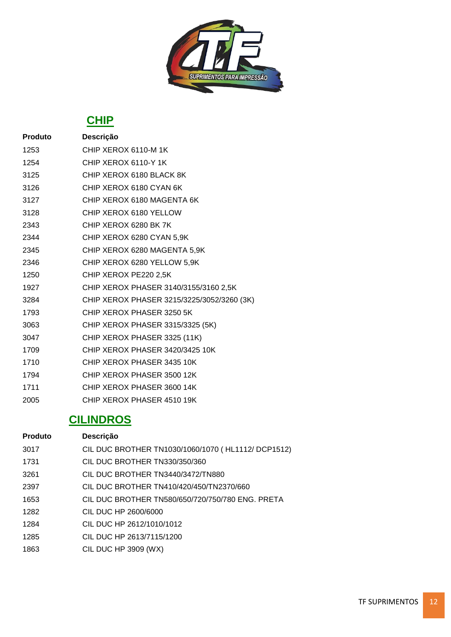

| <b>Produto</b> | Descrição                                  |
|----------------|--------------------------------------------|
| 1253           | CHIP XEROX 6110-M 1K                       |
| 1254           | CHIP XEROX 6110-Y 1K                       |
| 3125           | CHIP XEROX 6180 BLACK 8K                   |
| 3126           | CHIP XEROX 6180 CYAN 6K                    |
| 3127           | CHIP XEROX 6180 MAGENTA 6K                 |
| 3128           | CHIP XEROX 6180 YELLOW                     |
| 2343           | CHIP XEROX 6280 BK 7K                      |
| 2344           | CHIP XEROX 6280 CYAN 5,9K                  |
| 2345           | CHIP XEROX 6280 MAGENTA 5,9K               |
| 2346           | CHIP XEROX 6280 YELLOW 5,9K                |
| 1250           | CHIP XEROX PE220 2,5K                      |
| 1927           | CHIP XEROX PHASER 3140/3155/3160 2,5K      |
| 3284           | CHIP XEROX PHASER 3215/3225/3052/3260 (3K) |
| 1793           | CHIP XEROX PHASER 3250 5K                  |
| 3063           | CHIP XEROX PHASER 3315/3325 (5K)           |
| 3047           | CHIP XEROX PHASER 3325 (11K)               |
| 1709           | CHIP XEROX PHASER 3420/3425 10K            |
| 1710           | CHIP XEROX PHASER 3435 10K                 |
| 1794           | CHIP XEROX PHASER 3500 12K                 |
| 1711           | CHIP XEROX PHASER 3600 14K                 |
| 2005           | CHIP XEROX PHASER 4510 19K                 |

### **CILINDROS**

| <b>Produto</b> | Descrição                                          |
|----------------|----------------------------------------------------|
| 3017           | CIL DUC BROTHER TN1030/1060/1070 (HL1112/ DCP1512) |
| 1731           | CIL DUC BROTHER TN330/350/360                      |
| 3261           | CIL DUC BROTHER TN3440/3472/TN880                  |
| 2397           | CIL DUC BROTHER TN410/420/450/TN2370/660           |
| 1653           | CIL DUC BROTHER TN580/650/720/750/780 ENG. PRETA   |
| 1282           | CIL DUC HP 2600/6000                               |
| 1284           | CIL DUC HP 2612/1010/1012                          |
| 1285           | CIL DUC HP 2613/7115/1200                          |
| 1863           | <b>CIL DUC HP 3909 (WX)</b>                        |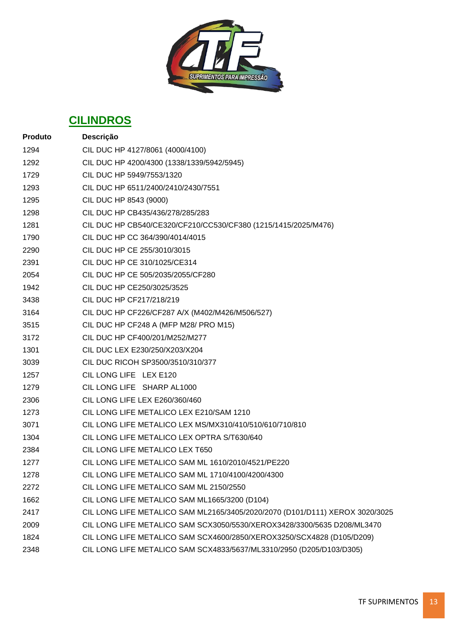

### **CILINDROS**

| <b>Produto</b> | Descrição                                                                    |
|----------------|------------------------------------------------------------------------------|
| 1294           | CIL DUC HP 4127/8061 (4000/4100)                                             |
| 1292           | CIL DUC HP 4200/4300 (1338/1339/5942/5945)                                   |
| 1729           | CIL DUC HP 5949/7553/1320                                                    |
| 1293           | CIL DUC HP 6511/2400/2410/2430/7551                                          |
| 1295           | CIL DUC HP 8543 (9000)                                                       |
| 1298           | CIL DUC HP CB435/436/278/285/283                                             |
| 1281           | CIL DUC HP CB540/CE320/CF210/CC530/CF380 (1215/1415/2025/M476)               |
| 1790           | CIL DUC HP CC 364/390/4014/4015                                              |
| 2290           | CIL DUC HP CE 255/3010/3015                                                  |
| 2391           | CIL DUC HP CE 310/1025/CE314                                                 |
| 2054           | CIL DUC HP CE 505/2035/2055/CF280                                            |
| 1942           | CIL DUC HP CE250/3025/3525                                                   |
| 3438           | CIL DUC HP CF217/218/219                                                     |
| 3164           | CIL DUC HP CF226/CF287 A/X (M402/M426/M506/527)                              |
| 3515           | CIL DUC HP CF248 A (MFP M28/ PRO M15)                                        |
| 3172           | CIL DUC HP CF400/201/M252/M277                                               |
| 1301           | CIL DUC LEX E230/250/X203/X204                                               |
| 3039           | CIL DUC RICOH SP3500/3510/310/377                                            |
| 1257           | CIL LONG LIFE LEX E120                                                       |
| 1279           | CIL LONG LIFE SHARP AL1000                                                   |
| 2306           | CIL LONG LIFE LEX E260/360/460                                               |
| 1273           | CIL LONG LIFE METALICO LEX E210/SAM 1210                                     |
| 3071           | CIL LONG LIFE METALICO LEX MS/MX310/410/510/610/710/810                      |
| 1304           | CIL LONG LIFE METALICO LEX OPTRA S/T630/640                                  |
| 2384           | CIL LONG LIFE METALICO LEX T650                                              |
| 1277           | CIL LONG LIFE METALICO SAM ML 1610/2010/4521/PE220                           |
| 1278           | CIL LONG LIFE METALICO SAM ML 1710/4100/4200/4300                            |
| 2272           | CIL LONG LIFE METALICO SAM ML 2150/2550                                      |
| 1662           | CIL LONG LIFE METALICO SAM ML1665/3200 (D104)                                |
| 2417           | CIL LONG LIFE METALICO SAM ML2165/3405/2020/2070 (D101/D111) XEROX 3020/3025 |
| 2009           | CIL LONG LIFE METALICO SAM SCX3050/5530/XEROX3428/3300/5635 D208/ML3470      |
| 1824           | CIL LONG LIFE METALICO SAM SCX4600/2850/XEROX3250/SCX4828 (D105/D209)        |
| 2348           | CIL LONG LIFE METALICO SAM SCX4833/5637/ML3310/2950 (D205/D103/D305)         |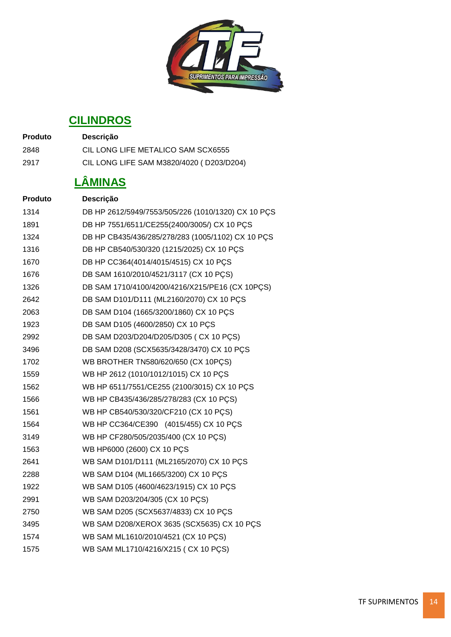

### **CILINDROS**

| <b>Produto</b> | <b>Descricão</b>                         |
|----------------|------------------------------------------|
| 2848           | CIL LONG LIFE METALICO SAM SCX6555       |
| 2917           | CIL LONG LIFE SAM M3820/4020 (D203/D204) |

# **LÂMINAS**

| <b>Produto</b> | Descrição                                          |
|----------------|----------------------------------------------------|
| 1314           | DB HP 2612/5949/7553/505/226 (1010/1320) CX 10 PÇS |
| 1891           | DB HP 7551/6511/CE255(2400/3005/) CX 10 PCS        |
| 1324           | DB HP CB435/436/285/278/283 (1005/1102) CX 10 PÇS  |
| 1316           | DB HP CB540/530/320 (1215/2025) CX 10 PCS          |
| 1670           | DB HP CC364(4014/4015/4515) CX 10 PCS              |
| 1676           | DB SAM 1610/2010/4521/3117 (CX 10 PCS)             |
| 1326           | DB SAM 1710/4100/4200/4216/X215/PE16 (CX 10PCS)    |
| 2642           | DB SAM D101/D111 (ML2160/2070) CX 10 PÇS           |
| 2063           | DB SAM D104 (1665/3200/1860) CX 10 PCS             |
| 1923           | DB SAM D105 (4600/2850) CX 10 PÇS                  |
| 2992           | DB SAM D203/D204/D205/D305 (CX 10 PCS)             |
| 3496           | DB SAM D208 (SCX5635/3428/3470) CX 10 PCS          |
| 1702           | WB BROTHER TN580/620/650 (CX 10PCS)                |
| 1559           | WB HP 2612 (1010/1012/1015) CX 10 PCS              |
| 1562           | WB HP 6511/7551/CE255 (2100/3015) CX 10 PCS        |
| 1566           | WB HP CB435/436/285/278/283 (CX 10 PÇS)            |
| 1561           | WB HP CB540/530/320/CF210 (CX 10 PCS)              |
| 1564           | WB HP CC364/CE390 (4015/455) CX 10 PCS             |
| 3149           | WB HP CF280/505/2035/400 (CX 10 PCS)               |
| 1563           | WB HP6000 (2600) CX 10 PÇS                         |
| 2641           | WB SAM D101/D111 (ML2165/2070) CX 10 PCS           |
| 2288           | WB SAM D104 (ML1665/3200) CX 10 PÇS                |
| 1922           | WB SAM D105 (4600/4623/1915) CX 10 PCS             |
| 2991           | WB SAM D203/204/305 (CX 10 PÇS)                    |
| 2750           | WB SAM D205 (SCX5637/4833) CX 10 PCS               |
| 3495           | WB SAM D208/XEROX 3635 (SCX5635) CX 10 PCS         |
| 1574           | WB SAM ML1610/2010/4521 (CX 10 PCS)                |
| 1575           | WB SAM ML1710/4216/X215 (CX 10 PÇS)                |
|                |                                                    |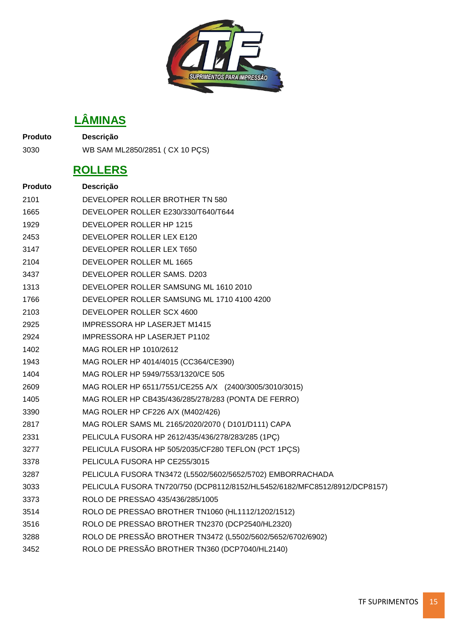

## **LÂMINAS**

**Produto Descrição**

WB SAM ML2850/2851 ( CX 10 PÇS)

#### **ROLLERS**

| <b>Produto</b> | Descrição                                                                 |
|----------------|---------------------------------------------------------------------------|
| 2101           | DEVELOPER ROLLER BROTHER TN 580                                           |
| 1665           | DEVELOPER ROLLER E230/330/T640/T644                                       |
| 1929           | DEVELOPER ROLLER HP 1215                                                  |
| 2453           | DEVELOPER ROLLER LEX E120                                                 |
| 3147           | DEVELOPER ROLLER LEX T650                                                 |
| 2104           | DEVELOPER ROLLER ML 1665                                                  |
| 3437           | DEVELOPER ROLLER SAMS. D203                                               |
| 1313           | DEVELOPER ROLLER SAMSUNG ML 1610 2010                                     |
| 1766           | DEVELOPER ROLLER SAMSUNG ML 1710 4100 4200                                |
| 2103           | DEVELOPER ROLLER SCX 4600                                                 |
| 2925           | <b>IMPRESSORA HP LASERJET M1415</b>                                       |
| 2924           | IMPRESSORA HP LASERJET P1102                                              |
| 1402           | MAG ROLER HP 1010/2612                                                    |
| 1943           | MAG ROLER HP 4014/4015 (CC364/CE390)                                      |
| 1404           | MAG ROLER HP 5949/7553/1320/CE 505                                        |
| 2609           | MAG ROLER HP 6511/7551/CE255 A/X (2400/3005/3010/3015)                    |
| 1405           | MAG ROLER HP CB435/436/285/278/283 (PONTA DE FERRO)                       |
| 3390           | MAG ROLER HP CF226 A/X (M402/426)                                         |
| 2817           | MAG ROLER SAMS ML 2165/2020/2070 (D101/D111) CAPA                         |
| 2331           | PELICULA FUSORA HP 2612/435/436/278/283/285 (1PC)                         |
| 3277           | PELICULA FUSORA HP 505/2035/CF280 TEFLON (PCT 1PCS)                       |
| 3378           | PELICULA FUSORA HP CE255/3015                                             |
| 3287           | PELICULA FUSORA TN3472 (L5502/5602/5652/5702) EMBORRACHADA                |
| 3033           | PELICULA FUSORA TN720/750 (DCP8112/8152/HL5452/6182/MFC8512/8912/DCP8157) |
| 3373           | ROLO DE PRESSÃO 435/436/285/1005                                          |
| 3514           | ROLO DE PRESSAO BROTHER TN1060 (HL1112/1202/1512)                         |
| 3516           | ROLO DE PRESSAO BROTHER TN2370 (DCP2540/HL2320)                           |
| 3288           | ROLO DE PRESSÃO BROTHER TN3472 (L5502/5602/5652/6702/6902)                |
| 3452           | ROLO DE PRESSÃO BROTHER TN360 (DCP7040/HL2140)                            |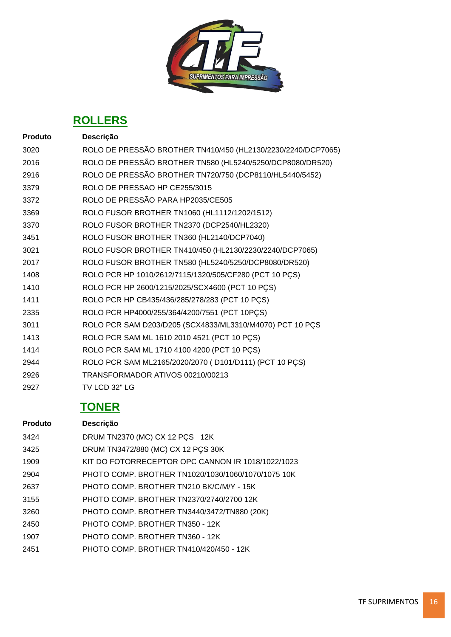

### **ROLLERS**

| <b>Produto</b> | Descrição                                                    |
|----------------|--------------------------------------------------------------|
| 3020           | ROLO DE PRESSÃO BROTHER TN410/450 (HL2130/2230/2240/DCP7065) |
| 2016           | ROLO DE PRESSÃO BROTHER TN580 (HL5240/5250/DCP8080/DR520)    |
| 2916           | ROLO DE PRESSÃO BROTHER TN720/750 (DCP8110/HL5440/5452)      |
| 3379           | ROLO DE PRESSAO HP CE255/3015                                |
| 3372           | ROLO DE PRESSÃO PARA HP2035/CE505                            |
| 3369           | ROLO FUSOR BROTHER TN1060 (HL1112/1202/1512)                 |
| 3370           | ROLO FUSOR BROTHER TN2370 (DCP2540/HL2320)                   |
| 3451           | ROLO FUSOR BROTHER TN360 (HL2140/DCP7040)                    |
| 3021           | ROLO FUSOR BROTHER TN410/450 (HL2130/2230/2240/DCP7065)      |
| 2017           | ROLO FUSOR BROTHER TN580 (HL5240/5250/DCP8080/DR520)         |
| 1408           | ROLO PCR HP 1010/2612/7115/1320/505/CF280 (PCT 10 PCS)       |
| 1410           | ROLO PCR HP 2600/1215/2025/SCX4600 (PCT 10 PCS)              |
| 1411           | ROLO PCR HP CB435/436/285/278/283 (PCT 10 PÇS)               |
| 2335           | ROLO PCR HP4000/255/364/4200/7551 (PCT 10PÇS)                |
| 3011           | ROLO PCR SAM D203/D205 (SCX4833/ML3310/M4070) PCT 10 PCS     |
| 1413           | ROLO PCR SAM ML 1610 2010 4521 (PCT 10 PÇS)                  |
| 1414           | ROLO PCR SAM ML 1710 4100 4200 (PCT 10 PÇS)                  |
| 2944           | ROLO PCR SAM ML2165/2020/2070 (D101/D111) (PCT 10 PÇS)       |
| 2926           | TRANSFORMADOR ATIVOS 00210/00213                             |
| 2927           | TV LCD 32" LG                                                |

| <b>Produto</b> | <b>Descrição</b>                                   |
|----------------|----------------------------------------------------|
| 3424           | DRUM TN2370 (MC) CX 12 PCS 12K                     |
| 3425           | DRUM TN3472/880 (MC) CX 12 PCS 30K                 |
| 1909           | KIT DO FOTORRECEPTOR OPC CANNON IR 1018/1022/1023  |
| 2904           | PHOTO COMP. BROTHER TN1020/1030/1060/1070/1075 10K |
| 2637           | PHOTO COMP. BROTHER TN210 BK/C/M/Y - 15K           |
| 3155           | PHOTO COMP. BROTHER TN2370/2740/2700 12K           |
| 3260           | PHOTO COMP. BROTHER TN3440/3472/TN880 (20K)        |
| 2450           | PHOTO COMP. BROTHER TN350 - 12K                    |
| 1907           | PHOTO COMP. BROTHER TN360 - 12K                    |
| 2451           | PHOTO COMP. BROTHER TN410/420/450 - 12K            |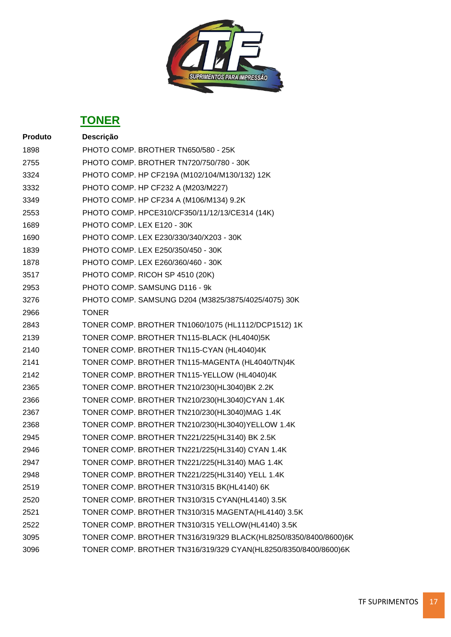

| Produto | Descrição                                                        |
|---------|------------------------------------------------------------------|
| 1898    | PHOTO COMP. BROTHER TN650/580 - 25K                              |
| 2755    | PHOTO COMP. BROTHER TN720/750/780 - 30K                          |
| 3324    | PHOTO COMP. HP CF219A (M102/104/M130/132) 12K                    |
| 3332    | PHOTO COMP. HP CF232 A (M203/M227)                               |
| 3349    | PHOTO COMP. HP CF234 A (M106/M134) 9.2K                          |
| 2553    | PHOTO COMP. HPCE310/CF350/11/12/13/CE314 (14K)                   |
| 1689    | PHOTO COMP. LEX E120 - 30K                                       |
| 1690    | PHOTO COMP. LEX E230/330/340/X203 - 30K                          |
| 1839    | PHOTO COMP. LEX E250/350/450 - 30K                               |
| 1878    | PHOTO COMP. LEX E260/360/460 - 30K                               |
| 3517    | PHOTO COMP. RICOH SP 4510 (20K)                                  |
| 2953    | PHOTO COMP. SAMSUNG D116 - 9k                                    |
| 3276    | PHOTO COMP. SAMSUNG D204 (M3825/3875/4025/4075) 30K              |
| 2966    | <b>TONER</b>                                                     |
| 2843    | TONER COMP. BROTHER TN1060/1075 (HL1112/DCP1512) 1K              |
| 2139    | TONER COMP. BROTHER TN115-BLACK (HL4040)5K                       |
| 2140    | TONER COMP. BROTHER TN115-CYAN (HL4040)4K                        |
| 2141    | TONER COMP. BROTHER TN115-MAGENTA (HL4040/TN)4K                  |
| 2142    | TONER COMP. BROTHER TN115-YELLOW (HL4040)4K                      |
| 2365    | TONER COMP. BROTHER TN210/230(HL3040)BK 2.2K                     |
| 2366    | TONER COMP. BROTHER TN210/230(HL3040)CYAN 1.4K                   |
| 2367    | TONER COMP. BROTHER TN210/230(HL3040)MAG 1.4K                    |
| 2368    | TONER COMP. BROTHER TN210/230(HL3040)YELLOW 1.4K                 |
| 2945    | TONER COMP. BROTHER TN221/225(HL3140) BK 2.5K                    |
| 2946    | TONER COMP. BROTHER TN221/225(HL3140) CYAN 1.4K                  |
| 2947    | TONER COMP. BROTHER TN221/225(HL3140) MAG 1.4K                   |
| 2948    | TONER COMP. BROTHER TN221/225(HL3140) YELL 1.4K                  |
| 2519    | TONER COMP. BROTHER TN310/315 BK(HL4140) 6K                      |
| 2520    | TONER COMP. BROTHER TN310/315 CYAN(HL4140) 3.5K                  |
| 2521    | TONER COMP. BROTHER TN310/315 MAGENTA(HL4140) 3.5K               |
| 2522    | TONER COMP. BROTHER TN310/315 YELLOW(HL4140) 3.5K                |
| 3095    | TONER COMP. BROTHER TN316/319/329 BLACK(HL8250/8350/8400/8600)6K |
| 3096    | TONER COMP. BROTHER TN316/319/329 CYAN(HL8250/8350/8400/8600)6K  |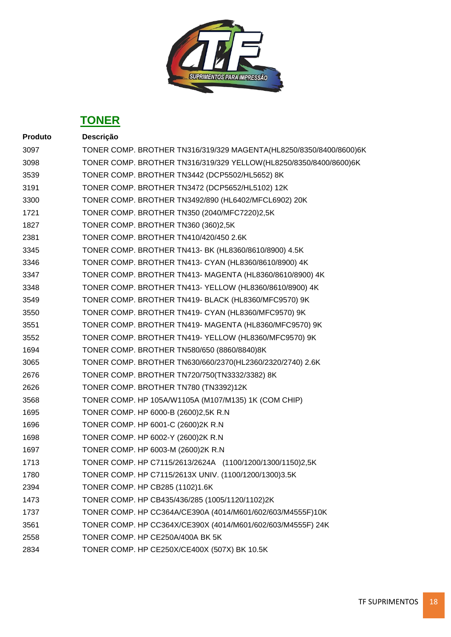

| Descrição                                                          |
|--------------------------------------------------------------------|
| TONER COMP. BROTHER TN316/319/329 MAGENTA(HL8250/8350/8400/8600)6K |
| TONER COMP. BROTHER TN316/319/329 YELLOW (HL8250/8350/8400/8600)6K |
| TONER COMP. BROTHER TN3442 (DCP5502/HL5652) 8K                     |
| TONER COMP. BROTHER TN3472 (DCP5652/HL5102) 12K                    |
| TONER COMP. BROTHER TN3492/890 (HL6402/MFCL6902) 20K               |
| TONER COMP. BROTHER TN350 (2040/MFC7220)2,5K                       |
| TONER COMP. BROTHER TN360 (360)2,5K                                |
| TONER COMP. BROTHER TN410/420/450 2.6K                             |
| TONER COMP. BROTHER TN413- BK (HL8360/8610/8900) 4.5K              |
| TONER COMP. BROTHER TN413- CYAN (HL8360/8610/8900) 4K              |
| TONER COMP. BROTHER TN413- MAGENTA (HL8360/8610/8900) 4K           |
| TONER COMP. BROTHER TN413-YELLOW (HL8360/8610/8900) 4K             |
| TONER COMP. BROTHER TN419- BLACK (HL8360/MFC9570) 9K               |
| TONER COMP. BROTHER TN419- CYAN (HL8360/MFC9570) 9K                |
| TONER COMP. BROTHER TN419- MAGENTA (HL8360/MFC9570) 9K             |
| TONER COMP. BROTHER TN419-YELLOW (HL8360/MFC9570) 9K               |
| TONER COMP. BROTHER TN580/650 (8860/8840)8K                        |
| TONER COMP. BROTHER TN630/660/2370(HL2360/2320/2740) 2.6K          |
| TONER COMP. BROTHER TN720/750(TN3332/3382) 8K                      |
| TONER COMP. BROTHER TN780 (TN3392)12K                              |
| TONER COMP. HP 105A/W1105A (M107/M135) 1K (COM CHIP)               |
| TONER COMP. HP 6000-B (2600)2,5K R.N                               |
| TONER COMP. HP 6001-C (2600)2K R.N                                 |
| TONER COMP. HP 6002-Y (2600)2K R.N                                 |
| TONER COMP. HP 6003-M (2600)2K R.N                                 |
| TONER COMP. HP C7115/2613/2624A (1100/1200/1300/1150)2,5K          |
| TONER COMP. HP C7115/2613X UNIV. (1100/1200/1300)3.5K              |
| TONER COMP. HP CB285 (1102)1.6K                                    |
| TONER COMP. HP CB435/436/285 (1005/1120/1102)2K                    |
| TONER COMP. HP CC364A/CE390A (4014/M601/602/603/M4555F)10K         |
| TONER COMP. HP CC364X/CE390X (4014/M601/602/603/M4555F) 24K        |
| TONER COMP. HP CE250A/400A BK 5K                                   |
| TONER COMP. HP CE250X/CE400X (507X) BK 10.5K                       |
|                                                                    |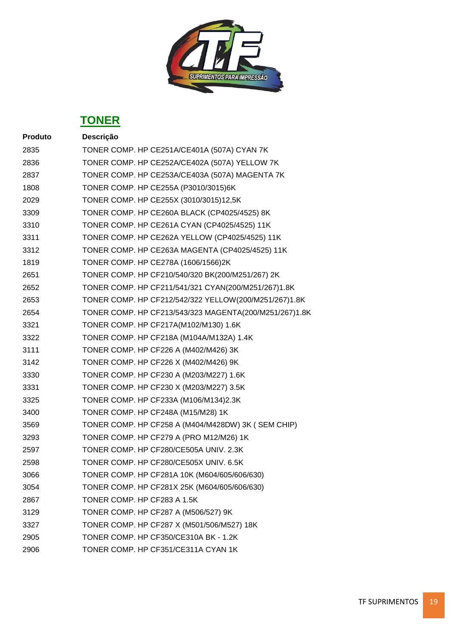

| <b>Produto</b> | Descrição                                              |
|----------------|--------------------------------------------------------|
| 2835           | TONER COMP. HP CE251A/CE401A (507A) CYAN 7K            |
| 2836           | TONER COMP. HP CE252A/CE402A (507A) YELLOW 7K          |
| 2837           | TONER COMP. HP CE253A/CE403A (507A) MAGENTA 7K         |
| 1808           | TONER COMP. HP CE255A (P3010/3015)6K                   |
| 2029           | TONER COMP. HP CE255X (3010/3015)12,5K                 |
| 3309           | TONER COMP. HP CE260A BLACK (CP4025/4525) 8K           |
| 3310           | TONER COMP. HP CE261A CYAN (CP4025/4525) 11K           |
| 3311           | TONER COMP. HP CE262A YELLOW (CP4025/4525) 11K         |
| 3312           | TONER COMP. HP CE263A MAGENTA (CP4025/4525) 11K        |
| 1819           | TONER COMP. HP CE278A (1606/1566)2K                    |
| 2651           | TONER COMP. HP CF210/540/320 BK(200/M251/267) 2K       |
| 2652           | TONER COMP. HP CF211/541/321 CYAN(200/M251/267)1.8K    |
| 2653           | TONER COMP. HP CF212/542/322 YELLOW(200/M251/267)1.8K  |
| 2654           | TONER COMP. HP CF213/543/323 MAGENTA(200/M251/267)1.8K |
| 3321           | TONER COMP. HP CF217A(M102/M130) 1.6K                  |
| 3322           | TONER COMP. HP CF218A (M104A/M132A) 1.4K               |
| 3111           | TONER COMP. HP CF226 A (M402/M426) 3K                  |
| 3142           | TONER COMP. HP CF226 X (M402/M426) 9K                  |
| 3330           | TONER COMP. HP CF230 A (M203/M227) 1.6K                |
| 3331           | TONER COMP. HP CF230 X (M203/M227) 3.5K                |
| 3325           | TONER COMP. HP CF233A (M106/M134)2.3K                  |
| 3400           | TONER COMP. HP CF248A (M15/M28) 1K                     |
| 3569           | TONER COMP. HP CF258 A (M404/M428DW) 3K (SEM CHIP)     |
| 3293           | TONER COMP. HP CF279 A (PRO M12/M26) 1K                |
| 2597           | TONER COMP. HP CF280/CE505A UNIV. 2.3K                 |
| 2598           | TONER COMP. HP CF280/CE505X UNIV. 6.5K                 |
| 3066           | TONER COMP. HP CF281A 10K (M604/605/606/630)           |
| 3054           | TONER COMP. HP CF281X 25K (M604/605/606/630)           |
| 2867           | TONER COMP. HP CF283 A 1.5K                            |
| 3129           | TONER COMP. HP CF287 A (M506/527) 9K                   |
| 3327           | TONER COMP. HP CF287 X (M501/506/M527) 18K             |
| 2905           | TONER COMP. HP CF350/CE310A BK - 1.2K                  |
| 2906           | TONER COMP. HP CF351/CE311A CYAN 1K                    |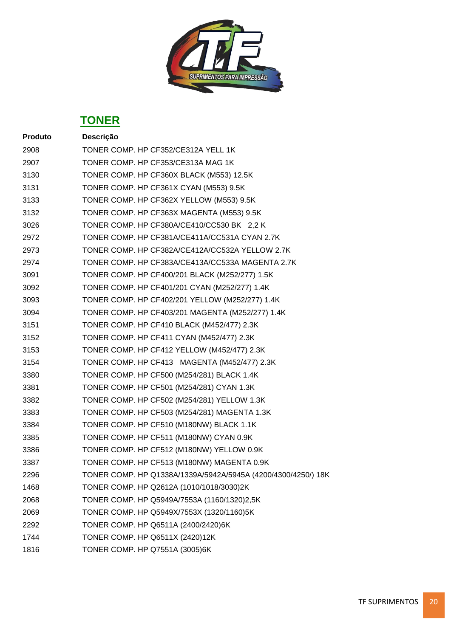

| Produto | Descrição                                                     |
|---------|---------------------------------------------------------------|
| 2908    | TONER COMP. HP CF352/CE312A YELL 1K                           |
| 2907    | TONER COMP. HP CF353/CE313A MAG 1K                            |
| 3130    | TONER COMP. HP CF360X BLACK (M553) 12.5K                      |
| 3131    | TONER COMP. HP CF361X CYAN (M553) 9.5K                        |
| 3133    | TONER COMP. HP CF362X YELLOW (M553) 9.5K                      |
| 3132    | TONER COMP. HP CF363X MAGENTA (M553) 9.5K                     |
| 3026    | TONER COMP. HP CF380A/CE410/CC530 BK 2,2 K                    |
| 2972    | TONER COMP. HP CF381A/CE411A/CC531A CYAN 2.7K                 |
| 2973    | TONER COMP. HP CF382A/CE412A/CC532A YELLOW 2.7K               |
| 2974    | TONER COMP. HP CF383A/CE413A/CC533A MAGENTA 2.7K              |
| 3091    | TONER COMP. HP CF400/201 BLACK (M252/277) 1.5K                |
| 3092    | TONER COMP. HP CF401/201 CYAN (M252/277) 1.4K                 |
| 3093    | TONER COMP. HP CF402/201 YELLOW (M252/277) 1.4K               |
| 3094    | TONER COMP. HP CF403/201 MAGENTA (M252/277) 1.4K              |
| 3151    | TONER COMP. HP CF410 BLACK (M452/477) 2.3K                    |
| 3152    | TONER COMP. HP CF411 CYAN (M452/477) 2.3K                     |
| 3153    | TONER COMP. HP CF412 YELLOW (M452/477) 2.3K                   |
| 3154    | TONER COMP. HP CF413 MAGENTA (M452/477) 2.3K                  |
| 3380    | TONER COMP. HP CF500 (M254/281) BLACK 1.4K                    |
| 3381    | TONER COMP. HP CF501 (M254/281) CYAN 1.3K                     |
| 3382    | TONER COMP. HP CF502 (M254/281) YELLOW 1.3K                   |
| 3383    | TONER COMP. HP CF503 (M254/281) MAGENTA 1.3K                  |
| 3384    | TONER COMP. HP CF510 (M180NW) BLACK 1.1K                      |
| 3385    | TONER COMP. HP CF511 (M180NW) CYAN 0.9K                       |
| 3386    | TONER COMP. HP CF512 (M180NW) YELLOW 0.9K                     |
| 3387    | TONER COMP. HP CF513 (M180NW) MAGENTA 0.9K                    |
| 2296    | TONER COMP. HP Q1338A/1339A/5942A/5945A (4200/4300/4250/) 18K |
| 1468    | TONER COMP. HP Q2612A (1010/1018/3030)2K                      |
| 2068    | TONER COMP. HP Q5949A/7553A (1160/1320)2,5K                   |
| 2069    | TONER COMP. HP Q5949X/7553X (1320/1160)5K                     |
| 2292    | TONER COMP. HP Q6511A (2400/2420)6K                           |
| 1744    | TONER COMP. HP Q6511X (2420)12K                               |
| 1816    | TONER COMP. HP Q7551A (3005)6K                                |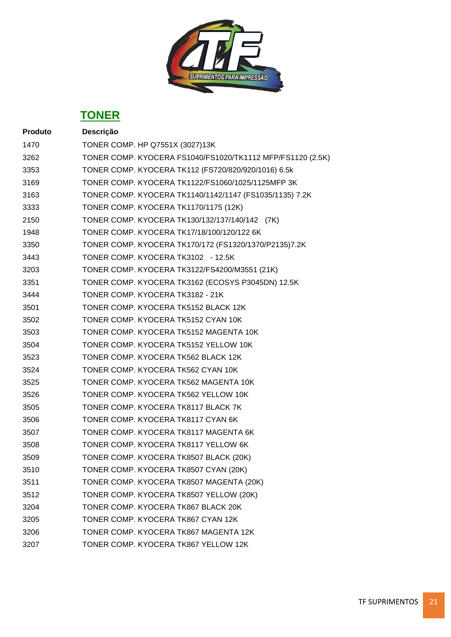

| <b>Produto</b> | Descrição                                                  |
|----------------|------------------------------------------------------------|
| 1470           | TONER COMP. HP Q7551X (3027)13K                            |
| 3262           | TONER COMP. KYOCERA FS1040/FS1020/TK1112 MFP/FS1120 (2.5K) |
| 3353           | TONER COMP. KYOCERA TK112 (FS720/820/920/1016) 6.5k        |
| 3169           | TONER COMP. KYOCERA TK1122/FS1060/1025/1125MFP 3K          |
| 3163           | TONER COMP. KYOCERA TK1140/1142/1147 (FS1035/1135) 7.2K    |
| 3333           | TONER COMP. KYOCERA TK1170/1175 (12K)                      |
| 2150           | TONER COMP. KYOCERA TK130/132/137/140/142 (7K)             |
| 1948           | TONER COMP. KYOCERA TK17/18/100/120/122 6K                 |
| 3350           | TONER COMP. KYOCERA TK170/172 (FS1320/1370/P2135)7.2K      |
| 3443           | TONER COMP. KYOCERA TK3102 - 12.5K                         |
| 3203           | TONER COMP. KYOCERA TK3122/FS4200/M3551 (21K)              |
| 3351           | TONER COMP. KYOCERA TK3162 (ECOSYS P3045DN) 12.5K          |
| 3444           | TONER COMP. KYOCERA TK3182 - 21K                           |
| 3501           | TONER COMP. KYOCERA TK5152 BLACK 12K                       |
| 3502           | TONER COMP. KYOCERA TK5152 CYAN 10K                        |
| 3503           | TONER COMP. KYOCERA TK5152 MAGENTA 10K                     |
| 3504           | TONER COMP. KYOCERA TK5152 YELLOW 10K                      |
| 3523           | TONER COMP. KYOCERA TK562 BLACK 12K                        |
| 3524           | TONER COMP. KYOCERA TK562 CYAN 10K                         |
| 3525           | TONER COMP. KYOCERA TK562 MAGENTA 10K                      |
| 3526           | TONER COMP. KYOCERA TK562 YELLOW 10K                       |
| 3505           | TONER COMP. KYOCERA TK8117 BLACK 7K                        |
| 3506           | TONER COMP. KYOCERA TK8117 CYAN 6K                         |
| 3507           | TONER COMP. KYOCERA TK8117 MAGENTA 6K                      |
| 3508           | TONER COMP. KYOCERA TK8117 YELLOW 6K                       |
| 3509           | TONER COMP. KYOCERA TK8507 BLACK (20K)                     |
| 3510           | TONER COMP. KYOCERA TK8507 CYAN (20K)                      |
| 3511           | TONER COMP. KYOCERA TK8507 MAGENTA (20K)                   |
| 3512           | TONER COMP. KYOCERA TK8507 YELLOW (20K)                    |
| 3204           | TONER COMP. KYOCERA TK867 BLACK 20K                        |
| 3205           | TONER COMP. KYOCERA TK867 CYAN 12K                         |
| 3206           | TONER COMP. KYOCERA TK867 MAGENTA 12K                      |
| 3207           | TONER COMP. KYOCERA TK867 YELLOW 12K                       |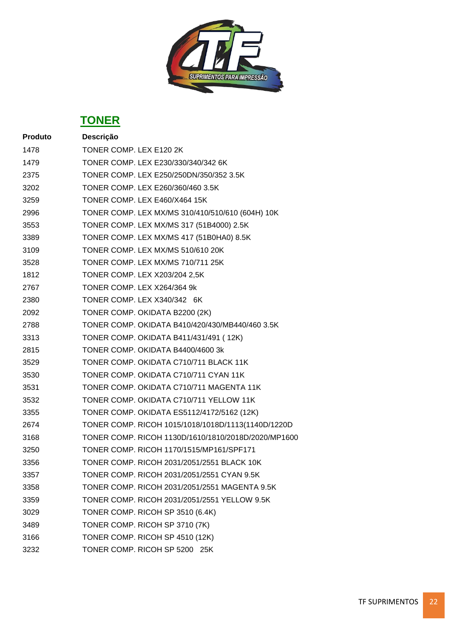

| <b>Produto</b> | Descrição                                           |
|----------------|-----------------------------------------------------|
| 1478           | TONER COMP. LEX E120 2K                             |
| 1479           | TONER COMP. LEX E230/330/340/342 6K                 |
| 2375           | TONER COMP. LEX E250/250DN/350/352 3.5K             |
| 3202           | TONER COMP. LEX E260/360/460 3.5K                   |
| 3259           | TONER COMP. LEX E460/X464 15K                       |
| 2996           | TONER COMP. LEX MX/MS 310/410/510/610 (604H) 10K    |
| 3553           | TONER COMP. LEX MX/MS 317 (51B4000) 2.5K            |
| 3389           | TONER COMP. LEX MX/MS 417 (51B0HA0) 8.5K            |
| 3109           | TONER COMP. LEX MX/MS 510/610 20K                   |
| 3528           | TONER COMP. LEX MX/MS 710/711 25K                   |
| 1812           | TONER COMP. LEX X203/204 2,5K                       |
| 2767           | TONER COMP. LEX X264/364 9k                         |
| 2380           | TONER COMP. LEX X340/342 6K                         |
| 2092           | TONER COMP. OKIDATA B2200 (2K)                      |
| 2788           | TONER COMP. OKIDATA B410/420/430/MB440/460 3.5K     |
| 3313           | TONER COMP. OKIDATA B411/431/491 (12K)              |
| 2815           | TONER COMP. OKIDATA B4400/4600 3k                   |
| 3529           | TONER COMP. OKIDATA C710/711 BLACK 11K              |
| 3530           | TONER COMP. OKIDATA C710/711 CYAN 11K               |
| 3531           | TONER COMP. OKIDATA C710/711 MAGENTA 11K            |
| 3532           | TONER COMP. OKIDATA C710/711 YELLOW 11K             |
| 3355           | TONER COMP. OKIDATA ES5112/4172/5162 (12K)          |
| 2674           | TONER COMP. RICOH 1015/1018/1018D/1113(1140D/1220D  |
| 3168           | TONER COMP. RICOH 1130D/1610/1810/2018D/2020/MP1600 |
| 3250           | TONER COMP. RICOH 1170/1515/MP161/SPF171            |
| 3356           | TONER COMP. RICOH 2031/2051/2551 BLACK 10K          |
| 3357           | TONER COMP. RICOH 2031/2051/2551 CYAN 9.5K          |
| 3358           | TONER COMP. RICOH 2031/2051/2551 MAGENTA 9.5K       |
| 3359           | TONER COMP. RICOH 2031/2051/2551 YELLOW 9.5K        |
| 3029           | TONER COMP. RICOH SP 3510 (6.4K)                    |
| 3489           | TONER COMP. RICOH SP 3710 (7K)                      |
| 3166           | TONER COMP. RICOH SP 4510 (12K)                     |
| 3232           | TONER COMP. RICOH SP 5200 25K                       |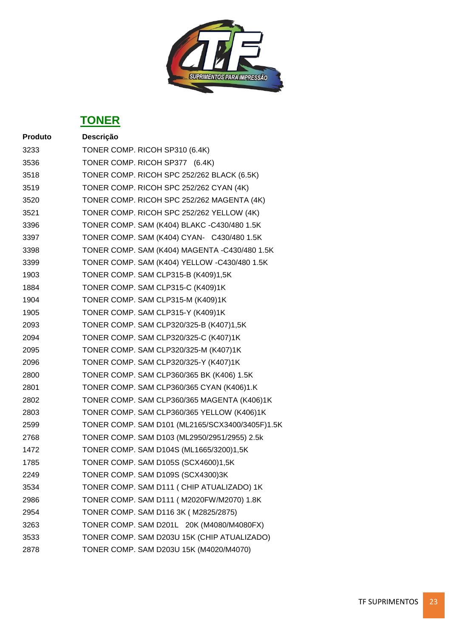

| <b>Produto</b> | Descrição                                       |
|----------------|-------------------------------------------------|
| 3233           | TONER COMP. RICOH SP310 (6.4K)                  |
| 3536           | TONER COMP. RICOH SP377 (6.4K)                  |
| 3518           | TONER COMP. RICOH SPC 252/262 BLACK (6.5K)      |
| 3519           | TONER COMP. RICOH SPC 252/262 CYAN (4K)         |
| 3520           | TONER COMP. RICOH SPC 252/262 MAGENTA (4K)      |
| 3521           | TONER COMP. RICOH SPC 252/262 YELLOW (4K)       |
| 3396           | TONER COMP. SAM (K404) BLAKC -C430/480 1.5K     |
| 3397           | TONER COMP. SAM (K404) CYAN- C430/480 1.5K      |
| 3398           | TONER COMP. SAM (K404) MAGENTA -C430/480 1.5K   |
| 3399           | TONER COMP. SAM (K404) YELLOW -C430/480 1.5K    |
| 1903           | TONER COMP. SAM CLP315-B (K409)1,5K             |
| 1884           | TONER COMP. SAM CLP315-C (K409)1K               |
| 1904           | TONER COMP. SAM CLP315-M (K409)1K               |
| 1905           | TONER COMP. SAM CLP315-Y (K409)1K               |
| 2093           | TONER COMP. SAM CLP320/325-B (K407)1,5K         |
| 2094           | TONER COMP. SAM CLP320/325-C (K407)1K           |
| 2095           | TONER COMP. SAM CLP320/325-M (K407)1K           |
| 2096           | TONER COMP. SAM CLP320/325-Y (K407)1K           |
| 2800           | TONER COMP. SAM CLP360/365 BK (K406) 1.5K       |
| 2801           | TONER COMP. SAM CLP360/365 CYAN (K406)1.K       |
| 2802           | TONER COMP. SAM CLP360/365 MAGENTA (K406)1K     |
| 2803           | TONER COMP. SAM CLP360/365 YELLOW (K406)1K      |
| 2599           | TONER COMP. SAM D101 (ML2165/SCX3400/3405F)1.5K |
| 2768           | TONER COMP. SAM D103 (ML2950/2951/2955) 2.5k    |
| 1472           | TONER COMP. SAM D104S (ML1665/3200)1,5K         |
| 1785           | TONER COMP. SAM D105S (SCX4600)1,5K             |
| 2249           | TONER COMP. SAM D109S (SCX4300)3K               |
| 3534           | TONER COMP. SAM D111 (CHIP ATUALIZADO) 1K       |
| 2986           | TONER COMP. SAM D111 (M2020FW/M2070) 1.8K       |
| 2954           | TONER COMP. SAM D116 3K (M2825/2875)            |
| 3263           | TONER COMP. SAM D201L 20K (M4080/M4080FX)       |
| 3533           | TONER COMP. SAM D203U 15K (CHIP ATUALIZADO)     |
| 2878           | TONER COMP. SAM D203U 15K (M4020/M4070)         |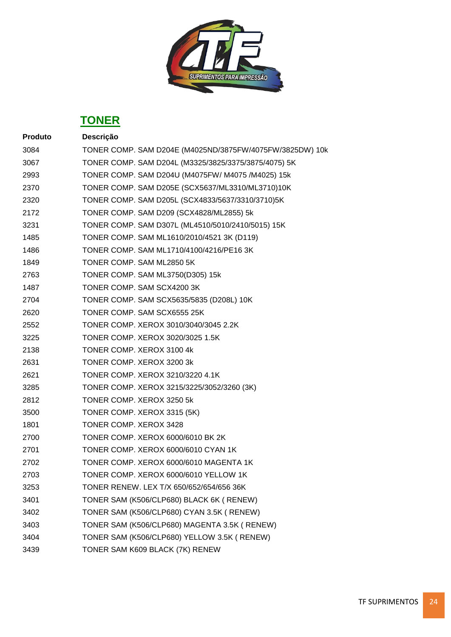

| <b>Produto</b> | Descrição                                                |
|----------------|----------------------------------------------------------|
| 3084           | TONER COMP. SAM D204E (M4025ND/3875FW/4075FW/3825DW) 10k |
| 3067           | TONER COMP. SAM D204L (M3325/3825/3375/3875/4075) 5K     |
| 2993           | TONER COMP. SAM D204U (M4075FW/ M4075 /M4025) 15k        |
| 2370           | TONER COMP. SAM D205E (SCX5637/ML3310/ML3710)10K         |
| 2320           | TONER COMP. SAM D205L (SCX4833/5637/3310/3710)5K         |
| 2172           | TONER COMP. SAM D209 (SCX4828/ML2855) 5k                 |
| 3231           | TONER COMP. SAM D307L (ML4510/5010/2410/5015) 15K        |
| 1485           | TONER COMP. SAM ML1610/2010/4521 3K (D119)               |
| 1486           | TONER COMP. SAM ML1710/4100/4216/PE16 3K                 |
| 1849           | TONER COMP. SAM ML2850 5K                                |
| 2763           | TONER COMP. SAM ML3750(D305) 15k                         |
| 1487           | TONER COMP. SAM SCX4200 3K                               |
| 2704           | TONER COMP. SAM SCX5635/5835 (D208L) 10K                 |
| 2620           | TONER COMP. SAM SCX6555 25K                              |
| 2552           | TONER COMP. XEROX 3010/3040/3045 2.2K                    |
| 3225           | TONER COMP. XEROX 3020/3025 1.5K                         |
| 2138           | TONER COMP. XEROX 3100 4k                                |
| 2631           | TONER COMP. XEROX 3200 3k                                |
| 2621           | TONER COMP. XEROX 3210/3220 4.1K                         |
| 3285           | TONER COMP. XEROX 3215/3225/3052/3260 (3K)               |
| 2812           | TONER COMP. XEROX 3250 5k                                |
| 3500           | TONER COMP. XEROX 3315 (5K)                              |
| 1801           | TONER COMP. XEROX 3428                                   |
| 2700           | TONER COMP. XEROX 6000/6010 BK 2K                        |
| 2701           | TONER COMP. XEROX 6000/6010 CYAN 1K                      |
| 2702           | TONER COMP. XEROX 6000/6010 MAGENTA 1K                   |
| 2703           | TONER COMP. XEROX 6000/6010 YELLOW 1K                    |
| 3253           | TONER RENEW. LEX T/X 650/652/654/656 36K                 |
| 3401           | TONER SAM (K506/CLP680) BLACK 6K ( RENEW)                |
| 3402           | TONER SAM (K506/CLP680) CYAN 3.5K ( RENEW)               |
| 3403           | TONER SAM (K506/CLP680) MAGENTA 3.5K ( RENEW)            |
| 3404           | TONER SAM (K506/CLP680) YELLOW 3.5K ( RENEW)             |
| 3439           | TONER SAM K609 BLACK (7K) RENEW                          |
|                |                                                          |